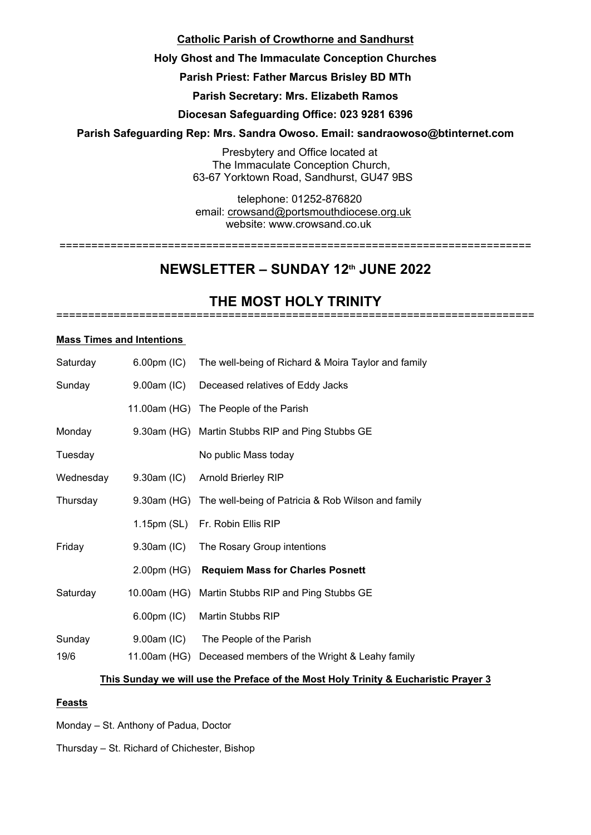# **Catholic Parish of Crowthorne and Sandhurst**

# **Holy Ghost and The Immaculate Conception Churches**

# **Parish Priest: Father Marcus Brisley BD MTh**

**Parish Secretary: Mrs. Elizabeth Ramos**

# **Diocesan Safeguarding Office: 023 9281 6396**

# **Parish Safeguarding Rep: Mrs. Sandra Owoso. Email: sandraowoso@btinternet.com**

Presbytery and Office located at The Immaculate Conception Church, 63-67 Yorktown Road, Sandhurst, GU47 9BS

telephone: 01252-876820 email: crowsand@portsmouthdiocese.org.uk

website: www.crowsand.co.uk ==========================================================================

# **NEWSLETTER – SUNDAY 12th JUNE 2022**

#### **THE MOST HOLY TRINITY** ===========================================================================

#### **Mass Times and Intentions**

| Saturday  | $6.00pm$ (IC) | The well-being of Richard & Moira Taylor and family            |
|-----------|---------------|----------------------------------------------------------------|
| Sunday    | $9.00am$ (IC) | Deceased relatives of Eddy Jacks                               |
|           |               | 11.00am (HG) The People of the Parish                          |
| Monday    |               | 9.30am (HG) Martin Stubbs RIP and Ping Stubbs GE               |
| Tuesday   |               | No public Mass today                                           |
| Wednesday | 9.30am (IC)   | <b>Arnold Brierley RIP</b>                                     |
| Thursday  |               | 9.30am (HG) The well-being of Patricia & Rob Wilson and family |
|           |               | 1.15pm (SL) Fr. Robin Ellis RIP                                |
| Friday    |               | 9.30am (IC) The Rosary Group intentions                        |
|           |               | 2.00pm (HG) Requiem Mass for Charles Posnett                   |
| Saturday  |               | 10.00am (HG) Martin Stubbs RIP and Ping Stubbs GE              |
|           | $6.00pm$ (IC) | Martin Stubbs RIP                                              |
| Sunday    |               | 9.00am (IC) The People of the Parish                           |
| 19/6      |               | 11.00am (HG) Deceased members of the Wright & Leahy family     |

# **This Sunday we will use the Preface of the Most Holy Trinity & Eucharistic Prayer 3**

# **Feasts**

Monday – St. Anthony of Padua, Doctor

Thursday – St. Richard of Chichester, Bishop